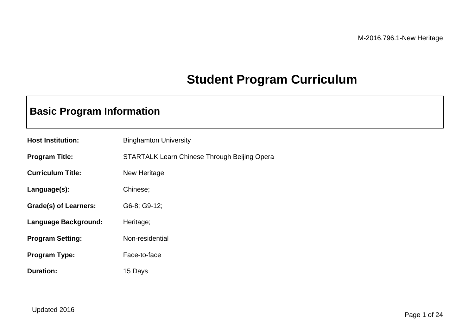## **Student Program Curriculum**

## **Basic Program Information**

| <b>Host Institution:</b> | <b>Binghamton University</b>                        |
|--------------------------|-----------------------------------------------------|
| <b>Program Title:</b>    | <b>STARTALK Learn Chinese Through Beijing Opera</b> |
| <b>Curriculum Title:</b> | New Heritage                                        |
| Language(s):             | Chinese;                                            |
| Grade(s) of Learners:    | G6-8; G9-12;                                        |
| Language Background:     | Heritage;                                           |
| <b>Program Setting:</b>  | Non-residential                                     |
| <b>Program Type:</b>     | Face-to-face                                        |
| <b>Duration:</b>         | 15 Days                                             |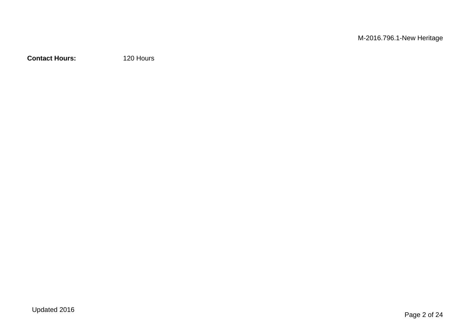**Contact Hours:** 120 Hours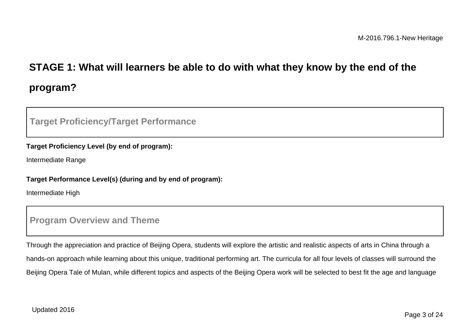# **STAGE 1: What will learners be able to do with what they know by the end of the program?**

### **Target Proficiency/Target Performance**

#### **Target Proficiency Level (by end of program):**

Intermediate Range

#### **Target Performance Level(s) (during and by end of program):**

Intermediate High

### **Program Overview and Theme**

Through the appreciation and practice of Beijing Opera, students will explore the artistic and realistic aspects of arts in China through a hands-on approach while learning about this unique, traditional performing art. The curricula for all four levels of classes will surround the Beijing Opera Tale of Mulan, while different topics and aspects of the Beijing Opera work will be selected to best fit the age and language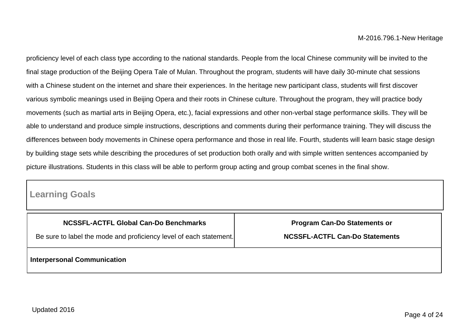proficiency level of each class type according to the national standards. People from the local Chinese community will be invited to the final stage production of the Beijing Opera Tale of Mulan. Throughout the program, students will have daily 30-minute chat sessions with a Chinese student on the internet and share their experiences. In the heritage new participant class, students will first discover various symbolic meanings used in Beijing Opera and their roots in Chinese culture. Throughout the program, they will practice body movements (such as martial arts in Beijing Opera, etc.), facial expressions and other non-verbal stage performance skills. They will be able to understand and produce simple instructions, descriptions and comments during their performance training. They will discuss the differences between body movements in Chinese opera performance and those in real life. Fourth, students will learn basic stage design by building stage sets while describing the procedures of set production both orally and with simple written sentences accompanied by picture illustrations. Students in this class will be able to perform group acting and group combat scenes in the final show.

### **Learning Goals**

| <b>NCSSFL-ACTFL Global Can-Do Benchmarks</b>                       | <b>Program Can-Do Statements or</b>   |  |
|--------------------------------------------------------------------|---------------------------------------|--|
| Be sure to label the mode and proficiency level of each statement. | <b>NCSSFL-ACTFL Can-Do Statements</b> |  |
| <b>Interpersonal Communication</b>                                 |                                       |  |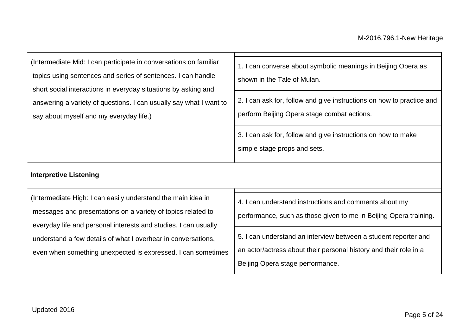| (Intermediate Mid: I can participate in conversations on familiar<br>topics using sentences and series of sentences. I can handle<br>short social interactions in everyday situations by asking and<br>answering a variety of questions. I can usually say what I want to<br>say about myself and my everyday life.)             | 1. I can converse about symbolic meanings in Beijing Opera as<br>shown in the Tale of Mulan.<br>2. I can ask for, follow and give instructions on how to practice and<br>perform Beijing Opera stage combat actions.<br>3. I can ask for, follow and give instructions on how to make<br>simple stage props and sets. |
|----------------------------------------------------------------------------------------------------------------------------------------------------------------------------------------------------------------------------------------------------------------------------------------------------------------------------------|-----------------------------------------------------------------------------------------------------------------------------------------------------------------------------------------------------------------------------------------------------------------------------------------------------------------------|
| <b>Interpretive Listening</b>                                                                                                                                                                                                                                                                                                    |                                                                                                                                                                                                                                                                                                                       |
| (Intermediate High: I can easily understand the main idea in<br>messages and presentations on a variety of topics related to<br>everyday life and personal interests and studies. I can usually<br>understand a few details of what I overhear in conversations,<br>even when something unexpected is expressed. I can sometimes | 4. I can understand instructions and comments about my<br>performance, such as those given to me in Beijing Opera training.<br>5. I can understand an interview between a student reporter and<br>an actor/actress about their personal history and their role in a<br>Beijing Opera stage performance.               |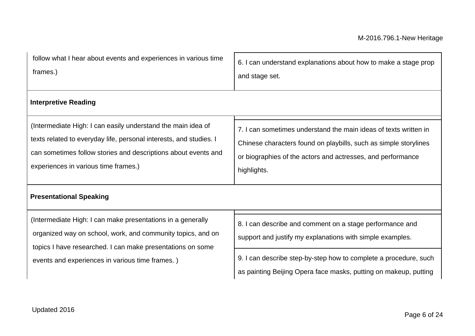| follow what I hear about events and experiences in various time    | 6. I can understand explanations about how to make a stage prop                                                                                                                                                               |  |
|--------------------------------------------------------------------|-------------------------------------------------------------------------------------------------------------------------------------------------------------------------------------------------------------------------------|--|
| frames.)                                                           | and stage set.                                                                                                                                                                                                                |  |
| <b>Interpretive Reading</b>                                        |                                                                                                                                                                                                                               |  |
| (Intermediate High: I can easily understand the main idea of       | 7. I can sometimes understand the main ideas of texts written in                                                                                                                                                              |  |
| texts related to everyday life, personal interests, and studies. I | Chinese characters found on playbills, such as simple storylines                                                                                                                                                              |  |
| can sometimes follow stories and descriptions about events and     | . The contract of the contract of the contract of the contract of the contract of the contract of the contract of the contract of the contract of the contract of the contract of the contract of the contract of the contrac |  |

highlights.

experiences in various time frames.)

## **Presentational Speaking**

| (Intermediate High: I can make presentations in a generally |
|-------------------------------------------------------------|
| organized way on school, work, and community topics, and on |
| topics I have researched. I can make presentations on some  |
| events and experiences in various time frames.)             |

| 8. I can describe and comment on a stage performance and  |
|-----------------------------------------------------------|
| support and justify my explanations with simple examples. |

or biographies of the actors and actresses, and performance

9. I can describe step-by-step how to complete a procedure, such as painting Beijing Opera face masks, putting on makeup, putting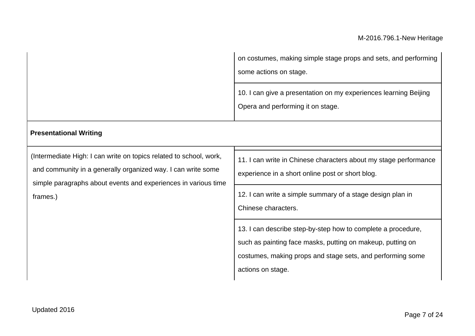|                                                                                                                                                                                                                  | on costumes, making simple stage props and sets, and performing<br>some actions on stage.<br>10. I can give a presentation on my experiences learning Beijing                      |  |
|------------------------------------------------------------------------------------------------------------------------------------------------------------------------------------------------------------------|------------------------------------------------------------------------------------------------------------------------------------------------------------------------------------|--|
| <b>Presentational Writing</b>                                                                                                                                                                                    | Opera and performing it on stage.                                                                                                                                                  |  |
| (Intermediate High: I can write on topics related to school, work,<br>and community in a generally organized way. I can write some<br>simple paragraphs about events and experiences in various time<br>frames.) | 11. I can write in Chinese characters about my stage performance<br>experience in a short online post or short blog.<br>12. I can write a simple summary of a stage design plan in |  |
|                                                                                                                                                                                                                  | Chinese characters.<br>13. I can describe step-by-step how to complete a procedure,                                                                                                |  |
|                                                                                                                                                                                                                  | such as painting face masks, putting on makeup, putting on<br>costumes, making props and stage sets, and performing some<br>actions on stage.                                      |  |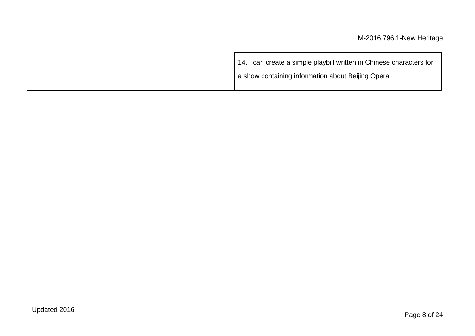| 14. I can create a simple playbill written in Chinese characters for |
|----------------------------------------------------------------------|
| a show containing information about Beijing Opera.                   |
|                                                                      |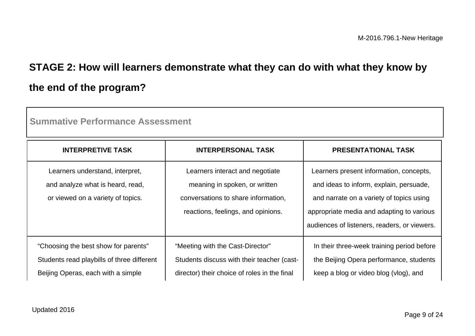## **STAGE 2: How will learners demonstrate what they can do with what they know by the end of the program?**

| <b>INTERPRETIVE TASK</b>                   | <b>INTERPERSONAL TASK</b>                    | <b>PRESENTATIONAL TASK</b>                   |
|--------------------------------------------|----------------------------------------------|----------------------------------------------|
| Learners understand, interpret,            | Learners interact and negotiate              | Learners present information, concepts,      |
| and analyze what is heard, read,           | meaning in spoken, or written                | and ideas to inform, explain, persuade,      |
| or viewed on a variety of topics.          | conversations to share information,          | and narrate on a variety of topics using     |
|                                            | reactions, feelings, and opinions.           | appropriate media and adapting to various    |
|                                            |                                              | audiences of listeners, readers, or viewers. |
| "Choosing the best show for parents"       | "Meeting with the Cast-Director"             | In their three-week training period before   |
| Students read playbills of three different | Students discuss with their teacher (cast-   | the Beijing Opera performance, students      |
| Beijing Operas, each with a simple         | director) their choice of roles in the final | keep a blog or video blog (vlog), and        |

**Summative Performance Assessment**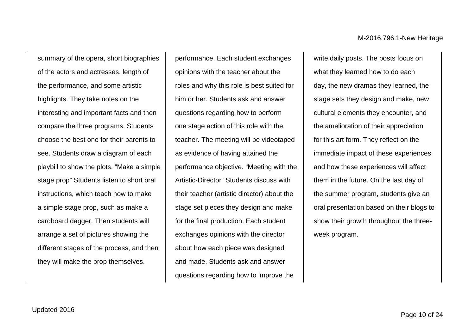summary of the opera, short biographies of the actors and actresses, length of the performance, and some artistic highlights. They take notes on the interesting and important facts and then compare the three programs. Students choose the best one for their parents to see. Students draw a diagram of each playbill to show the plots. "Make a simple stage prop" Students listen to short oral instructions, which teach how to make a simple stage prop, such as make a cardboard dagger. Then students will arrange a set of pictures showing the different stages of the process, and then they will make the prop themselves.

performance. Each student exchanges opinions with the teacher about the roles and why this role is best suited for him or her. Students ask and answer questions regarding how to perform one stage action of this role with the teacher. The meeting will be videotaped as evidence of having attained the performance objective. "Meeting with the Artistic-Director" Students discuss with their teacher (artistic director) about the stage set pieces they design and make for the final production. Each student exchanges opinions with the director about how each piece was designed and made. Students ask and answer questions regarding how to improve the

write daily posts. The posts focus on what they learned how to do each day, the new dramas they learned, the stage sets they design and make, new cultural elements they encounter, and the amelioration of their appreciation for this art form. They reflect on the immediate impact of these experiences and how these experiences will affect them in the future. On the last day of the summer program, students give an oral presentation based on their blogs to show their growth throughout the threeweek program.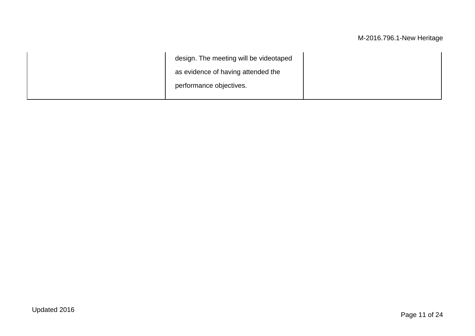| design. The meeting will be videotaped |  |
|----------------------------------------|--|
| as evidence of having attended the     |  |
| performance objectives.                |  |
|                                        |  |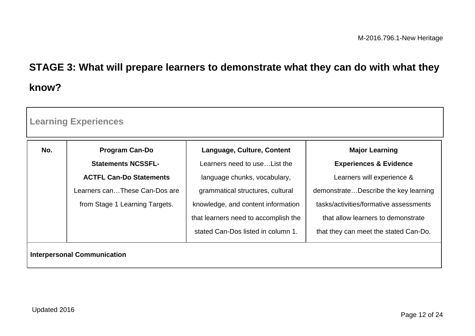# **STAGE 3: What will prepare learners to demonstrate what they can do with what they know?**

| No. | <b>Program Can-Do</b>          | Language, Culture, Content           | <b>Major Learning</b>                  |
|-----|--------------------------------|--------------------------------------|----------------------------------------|
|     | <b>Statements NCSSFL-</b>      | Learners need to use List the        | <b>Experiences &amp; Evidence</b>      |
|     | <b>ACTFL Can-Do Statements</b> | language chunks, vocabulary,         | Learners will experience &             |
|     | Learners canThese Can-Dos are  | grammatical structures, cultural     | demonstrateDescribe the key learning   |
|     | from Stage 1 Learning Targets. | knowledge, and content information   | tasks/activities/formative assessments |
|     |                                | that learners need to accomplish the | that allow learners to demonstrate     |
|     |                                | stated Can-Dos listed in column 1.   | that they can meet the stated Can-Do.  |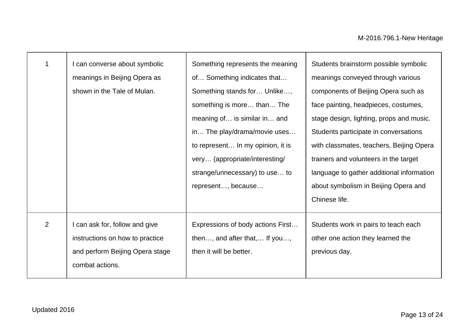|                | I can converse about symbolic<br>meanings in Beijing Opera as | Something represents the meaning<br>of Something indicates that | Students brainstorm possible symbolic<br>meanings conveyed through various |
|----------------|---------------------------------------------------------------|-----------------------------------------------------------------|----------------------------------------------------------------------------|
|                | shown in the Tale of Mulan.                                   | Something stands for Unlike,                                    | components of Beijing Opera such as                                        |
|                |                                                               | something is more than The                                      | face painting, headpieces, costumes,                                       |
|                |                                                               | meaning of is similar in and                                    | stage design, lighting, props and music.                                   |
|                |                                                               | in The play/drama/movie uses                                    | Students participate in conversations                                      |
|                |                                                               | to represent In my opinion, it is                               | with classmates, teachers, Beijing Opera                                   |
|                |                                                               | very (appropriate/interesting/                                  | trainers and volunteers in the target                                      |
|                |                                                               | strange/unnecessary) to use to                                  | language to gather additional information                                  |
|                |                                                               | represent, because                                              | about symbolism in Beijing Opera and                                       |
|                |                                                               |                                                                 | Chinese life.                                                              |
| $\overline{2}$ | I can ask for, follow and give                                | Expressions of body actions First                               | Students work in pairs to teach each                                       |
|                | instructions on how to practice                               | then, and after that, If you,                                   | other one action they learned the                                          |
|                | and perform Beijing Opera stage                               | then it will be better.                                         | previous day.                                                              |
|                | combat actions.                                               |                                                                 |                                                                            |
|                |                                                               |                                                                 |                                                                            |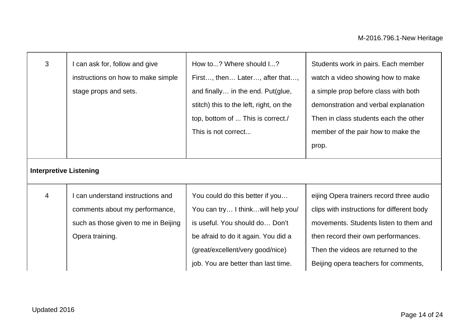| 3                             | I can ask for, follow and give<br>instructions on how to make simple<br>stage props and sets.                                | How to? Where should I?<br>First, then Later, after that,<br>and finally in the end. Put(glue,<br>stitch) this to the left, right, on the<br>top, bottom of  This is correct./<br>This is not correct                     | Students work in pairs. Each member<br>watch a video showing how to make<br>a simple prop before class with both<br>demonstration and verbal explanation<br>Then in class students each the other<br>member of the pair how to make the<br>prop.       |
|-------------------------------|------------------------------------------------------------------------------------------------------------------------------|---------------------------------------------------------------------------------------------------------------------------------------------------------------------------------------------------------------------------|--------------------------------------------------------------------------------------------------------------------------------------------------------------------------------------------------------------------------------------------------------|
| <b>Interpretive Listening</b> |                                                                                                                              |                                                                                                                                                                                                                           |                                                                                                                                                                                                                                                        |
| 4                             | can understand instructions and<br>comments about my performance,<br>such as those given to me in Beijing<br>Opera training. | You could do this better if you<br>You can try I think will help you/<br>is useful. You should do Don't<br>be afraid to do it again. You did a<br>(great/excellent/very good/nice)<br>job. You are better than last time. | eijing Opera trainers record three audio<br>clips with instructions for different body<br>movements. Students listen to them and<br>then record their own performances.<br>Then the videos are returned to the<br>Beijing opera teachers for comments, |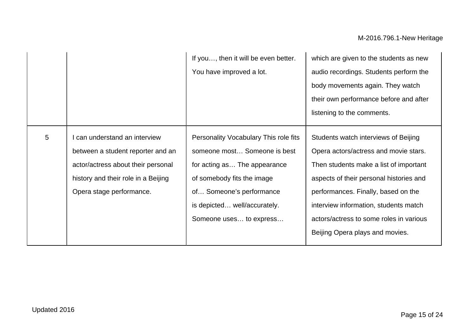|                 |                                                                                                                                                                             | If you, then it will be even better.<br>You have improved a lot.                                                                                                                                                           | which are given to the students as new<br>audio recordings. Students perform the<br>body movements again. They watch<br>their own performance before and after<br>listening to the comments.                                                                                                                                     |
|-----------------|-----------------------------------------------------------------------------------------------------------------------------------------------------------------------------|----------------------------------------------------------------------------------------------------------------------------------------------------------------------------------------------------------------------------|----------------------------------------------------------------------------------------------------------------------------------------------------------------------------------------------------------------------------------------------------------------------------------------------------------------------------------|
| $5\phantom{.0}$ | I can understand an interview<br>between a student reporter and an<br>actor/actress about their personal<br>history and their role in a Beijing<br>Opera stage performance. | Personality Vocabulary This role fits<br>someone most Someone is best<br>for acting as The appearance<br>of somebody fits the image<br>of Someone's performance<br>is depicted well/accurately.<br>Someone uses to express | Students watch interviews of Beijing<br>Opera actors/actress and movie stars.<br>Then students make a list of important<br>aspects of their personal histories and<br>performances. Finally, based on the<br>interview information, students match<br>actors/actress to some roles in various<br>Beijing Opera plays and movies. |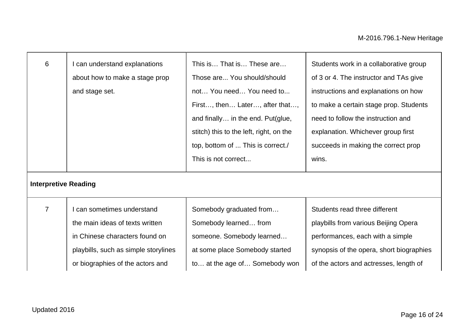| 6<br><b>Interpretive Reading</b> | I can understand explanations<br>about how to make a stage prop<br>and stage set. | This is That is These are<br>Those are You should/should<br>not You need You need to<br>First, then Later, after that,<br>and finally in the end. Put(glue,<br>stitch) this to the left, right, on the<br>top, bottom of  This is correct./<br>This is not correct | Students work in a collaborative group<br>of 3 or 4. The instructor and TAs give<br>instructions and explanations on how<br>to make a certain stage prop. Students<br>need to follow the instruction and<br>explanation. Whichever group first<br>succeeds in making the correct prop<br>wins. |
|----------------------------------|-----------------------------------------------------------------------------------|--------------------------------------------------------------------------------------------------------------------------------------------------------------------------------------------------------------------------------------------------------------------|------------------------------------------------------------------------------------------------------------------------------------------------------------------------------------------------------------------------------------------------------------------------------------------------|
| $\overline{7}$                   | can sometimes understand                                                          | Somebody graduated from                                                                                                                                                                                                                                            | Students read three different                                                                                                                                                                                                                                                                  |
|                                  | the main ideas of texts written                                                   | Somebody learned from                                                                                                                                                                                                                                              | playbills from various Beijing Opera                                                                                                                                                                                                                                                           |
|                                  | in Chinese characters found on                                                    | someone. Somebody learned                                                                                                                                                                                                                                          | performances, each with a simple                                                                                                                                                                                                                                                               |
|                                  | playbills, such as simple storylines                                              | at some place Somebody started                                                                                                                                                                                                                                     | synopsis of the opera, short biographies                                                                                                                                                                                                                                                       |
|                                  | or biographies of the actors and                                                  | to at the age of Somebody won                                                                                                                                                                                                                                      | of the actors and actresses, length of                                                                                                                                                                                                                                                         |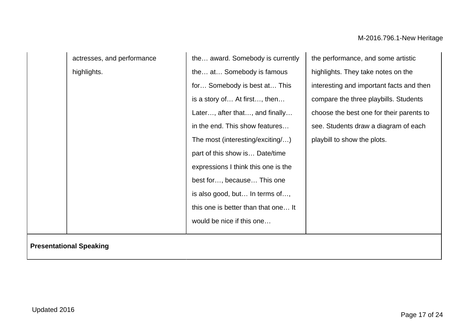actresses, and performance highlights.

the… award. Somebody is currently the… at… Somebody is famous for… Somebody is best at… This is a story of… At first…, then… Later…, after that…, and finally… in the end. This show features… The most (interesting/exciting/…) part of this show is… Date/time expressions I think this one is the best for…, because… This one is also good, but… In terms of…, this one is better than that one… It would be nice if this one…

the performance, and some artistic highlights. They take notes on the interesting and important facts and then compare the three playbills. Students choose the best one for their parents to see. Students draw a diagram of each playbill to show the plots.

**Presentational Speaking**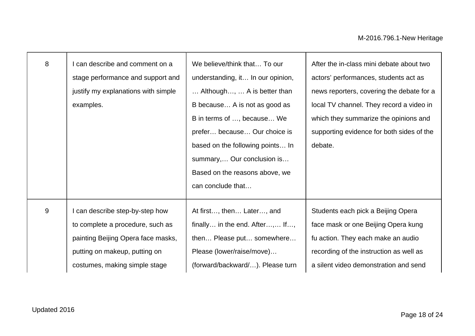| 8 | can describe and comment on a       | We believe/think that To our      | After the in-class mini debate about two  |
|---|-------------------------------------|-----------------------------------|-------------------------------------------|
|   | stage performance and support and   | understanding, it In our opinion, | actors' performances, students act as     |
|   | justify my explanations with simple | Although,  A is better than       | news reporters, covering the debate for a |
|   | examples.                           | B because A is not as good as     | local TV channel. They record a video in  |
|   |                                     | B in terms of , because We        | which they summarize the opinions and     |
|   |                                     | prefer because Our choice is      | supporting evidence for both sides of the |
|   |                                     | based on the following points In  | debate.                                   |
|   |                                     | summary, Our conclusion is        |                                           |
|   |                                     | Based on the reasons above, we    |                                           |
|   |                                     | can conclude that                 |                                           |
|   |                                     |                                   |                                           |
| 9 | can describe step-by-step how       | At first, then Later, and         | Students each pick a Beijing Opera        |
|   | to complete a procedure, such as    | finally in the end. After, If,    | face mask or one Beijing Opera kung       |
|   | painting Beijing Opera face masks,  | then Please put somewhere         | fu action. They each make an audio        |
|   | putting on makeup, putting on       | Please (lower/raise/move)         | recording of the instruction as well as   |
|   | costumes, making simple stage       | (forward/backward/). Please turn  | a silent video demonstration and send     |
|   |                                     |                                   |                                           |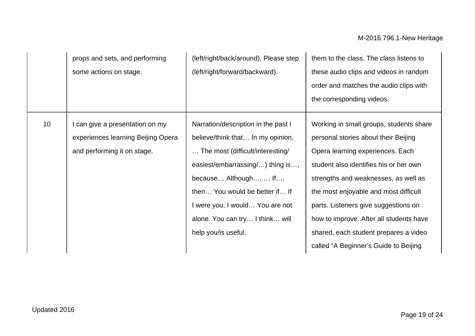|    | props and sets, and performing<br>some actions on stage. | (left/right/back/around). Please step<br>(left/right/forward/backward). | them to the class. The class listens to<br>these audio clips and videos in random |
|----|----------------------------------------------------------|-------------------------------------------------------------------------|-----------------------------------------------------------------------------------|
|    |                                                          |                                                                         | order and matches the audio clips with                                            |
|    |                                                          |                                                                         | the corresponding videos.                                                         |
| 10 | I can give a presentation on my                          | Narration/description in the past I                                     | Working in small groups, students share                                           |
|    | experiences learning Beijing Opera                       | believe/think that In my opinion,                                       | personal stories about their Beijing                                              |
|    | and performing it on stage.                              | The most (difficult/interesting/                                        | Opera learning experiences. Each                                                  |
|    |                                                          | easiest/embarrassing/) thing is,                                        | student also identifies his or her own                                            |
|    |                                                          | because Although,  If,                                                  | strengths and weaknesses, as well as                                              |
|    |                                                          | then You would be better if If                                          | the most enjoyable and most difficult                                             |
|    |                                                          | I were you, I would You are not                                         | parts. Listeners give suggestions on                                              |
|    |                                                          | alone. You can try I think will                                         | how to improve. After all students have                                           |
|    |                                                          | help you/is useful.                                                     | shared, each student prepares a video                                             |
|    |                                                          |                                                                         | called "A Beginner's Guide to Beijing                                             |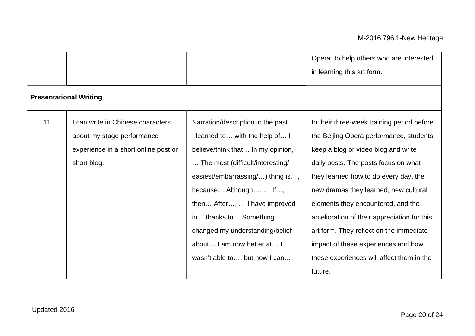|    |                                                                                                                      |                                                                                                                                                                                                                                                                                                                                                                         | Opera" to help others who are interested<br>in learning this art form.                                                                                                                                                                                                                                                                                                                                                                                                                |
|----|----------------------------------------------------------------------------------------------------------------------|-------------------------------------------------------------------------------------------------------------------------------------------------------------------------------------------------------------------------------------------------------------------------------------------------------------------------------------------------------------------------|---------------------------------------------------------------------------------------------------------------------------------------------------------------------------------------------------------------------------------------------------------------------------------------------------------------------------------------------------------------------------------------------------------------------------------------------------------------------------------------|
|    | <b>Presentational Writing</b>                                                                                        |                                                                                                                                                                                                                                                                                                                                                                         |                                                                                                                                                                                                                                                                                                                                                                                                                                                                                       |
| 11 | can write in Chinese characters<br>about my stage performance<br>experience in a short online post or<br>short blog. | Narration/description in the past<br>I learned to with the help of I<br>believe/think that In my opinion,<br>The most (difficult/interesting/<br>easiest/embarrassing/) thing is,<br>because Although,  If,<br>then After,  I have improved<br>in thanks to Something<br>changed my understanding/belief<br>about I am now better at I<br>wasn't able to, but now I can | In their three-week training period before<br>the Beijing Opera performance, students<br>keep a blog or video blog and write<br>daily posts. The posts focus on what<br>they learned how to do every day, the<br>new dramas they learned, new cultural<br>elements they encountered, and the<br>amelioration of their appreciation for this<br>art form. They reflect on the immediate<br>impact of these experiences and how<br>these experiences will affect them in the<br>future. |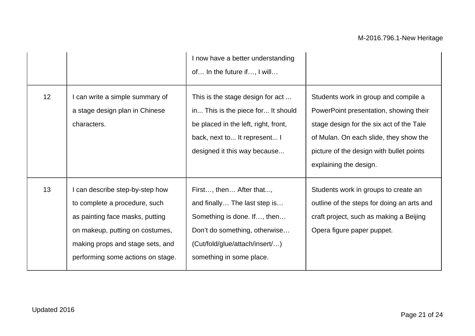|                 |                                                                                                                                                                                                                 | I now have a better understanding<br>of In the future if, I will                                                                                                                      |                                                                                                                                                                                                                                            |
|-----------------|-----------------------------------------------------------------------------------------------------------------------------------------------------------------------------------------------------------------|---------------------------------------------------------------------------------------------------------------------------------------------------------------------------------------|--------------------------------------------------------------------------------------------------------------------------------------------------------------------------------------------------------------------------------------------|
| 12 <sup>2</sup> | I can write a simple summary of<br>a stage design plan in Chinese<br>characters.                                                                                                                                | This is the stage design for act<br>in This is the piece for It should<br>be placed in the left, right, front,<br>back, next to It represent I<br>designed it this way because        | Students work in group and compile a<br>PowerPoint presentation, showing their<br>stage design for the six act of the Tale<br>of Mulan. On each slide, they show the<br>picture of the design with bullet points<br>explaining the design. |
| 13              | I can describe step-by-step how<br>to complete a procedure, such<br>as painting face masks, putting<br>on makeup, putting on costumes,<br>making props and stage sets, and<br>performing some actions on stage. | First, then After that,<br>and finally The last step is<br>Something is done. If, then<br>Don't do something, otherwise<br>(Cut/fold/glue/attach/insert/)<br>something in some place. | Students work in groups to create an<br>outline of the steps for doing an arts and<br>craft project, such as making a Beijing<br>Opera figure paper puppet.                                                                                |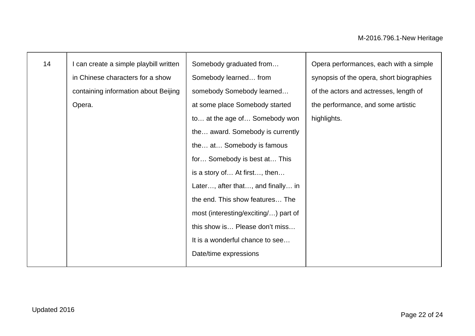| 14 | I can create a simple playbill written | Somebody graduated from              | Opera performances, each with a simple   |
|----|----------------------------------------|--------------------------------------|------------------------------------------|
|    | in Chinese characters for a show       | Somebody learned from                | synopsis of the opera, short biographies |
|    | containing information about Beijing   | somebody Somebody learned            | of the actors and actresses, length of   |
|    | Opera.                                 | at some place Somebody started       | the performance, and some artistic       |
|    |                                        | to at the age of Somebody won        | highlights.                              |
|    |                                        | the award. Somebody is currently     |                                          |
|    |                                        | the at Somebody is famous            |                                          |
|    |                                        | for Somebody is best at This         |                                          |
|    |                                        | is a story of At first, then         |                                          |
|    |                                        | Later, after that, and finally in    |                                          |
|    |                                        | the end. This show features The      |                                          |
|    |                                        | most (interesting/exciting/) part of |                                          |
|    |                                        | this show is Please don't miss       |                                          |
|    |                                        | It is a wonderful chance to see      |                                          |
|    |                                        | Date/time expressions                |                                          |
|    |                                        |                                      |                                          |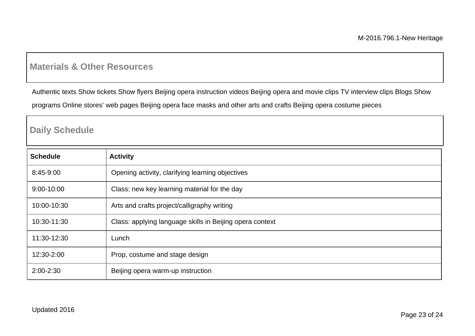### **Materials & Other Resources**

Authentic texts Show tickets Show flyers Beijing opera instruction videos Beijing opera and movie clips TV interview clips Blogs Show

programs Online stores' web pages Beijing opera face masks and other arts and crafts Beijing opera costume pieces

### **Daily Schedule**

| <b>Schedule</b> | <b>Activity</b>                                          |
|-----------------|----------------------------------------------------------|
| 8:45-9:00       | Opening activity, clarifying learning objectives         |
| 9:00-10:00      | Class: new key learning material for the day             |
| 10:00-10:30     | Arts and crafts project/calligraphy writing              |
| 10:30-11:30     | Class: applying language skills in Beijing opera context |
| 11:30-12:30     | Lunch                                                    |
| 12:30-2:00      | Prop, costume and stage design                           |
| $2:00 - 2:30$   | Beijing opera warm-up instruction                        |